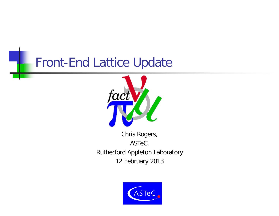#### Front-End Lattice Update



Chris Rogers, ASTeC, Rutherford Appleton Laboratory 12 February 2013

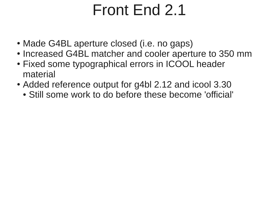# Front End 2.1

- Made G4BL aperture closed (i.e. no gaps)
- Increased G4BL matcher and cooler aperture to 350 mm
- Fixed some typographical errors in ICOOL header material
- Added reference output for g4bl 2.12 and icool 3.30
	- Still some work to do before these become 'official'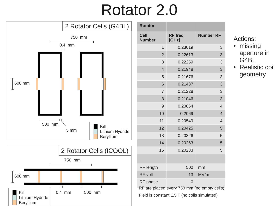## Rotator 2.0





| <b>Rotator</b>                                                                              |                         |                  |  |
|---------------------------------------------------------------------------------------------|-------------------------|------------------|--|
| <b>Cell</b><br><b>Number</b>                                                                | <b>RF</b> freq<br>[GHz] | <b>Number RF</b> |  |
| $\mathbf{1}$                                                                                | 0.23019                 | 3                |  |
| $\overline{2}$                                                                              | 0.22613                 | 3                |  |
| 3                                                                                           | 0.22259                 | 3                |  |
| $\overline{4}$                                                                              | 0.21948                 | 3                |  |
| 5                                                                                           | 0.21676                 | 3                |  |
| 6                                                                                           | 0.21437                 | 3                |  |
| $\overline{7}$                                                                              | 0.21228                 | 3                |  |
| 8                                                                                           | 0.21046                 | 3                |  |
| 9                                                                                           | 0.20864                 | $\overline{4}$   |  |
| 10                                                                                          | 0.2069                  | $\overline{4}$   |  |
| 11                                                                                          | 0.20549                 | $\overline{4}$   |  |
| 12                                                                                          | 0.20425                 | 5                |  |
| 13                                                                                          | 0.20326                 | 5                |  |
| 14                                                                                          | 0.20263                 | 5                |  |
| 15                                                                                          | 0.20233                 | 5                |  |
|                                                                                             |                         |                  |  |
| RF length                                                                                   | 500                     | mm               |  |
| <b>RF</b> volt                                                                              | 13                      | MV/m             |  |
| RF phase                                                                                    | 0                       |                  |  |
| RF are placed every 750 mm (no empty cells)<br>Field is constant 1.5 T (no coils simulated) |                         |                  |  |

Actions:

- missing aperture in G4BL
- Realistic coil geometry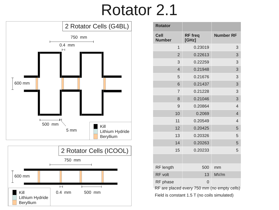### Rotator 2.1





| <b>Rotator</b>               |                                             |                  |
|------------------------------|---------------------------------------------|------------------|
| <b>Cell</b><br><b>Number</b> | <b>RF</b> freq<br>[GHz]                     | <b>Number RF</b> |
| $\mathbf{1}$                 | 0.23019                                     | 3                |
| $\overline{2}$               | 0.22613                                     | 3                |
| 3                            | 0.22259                                     | 3                |
| $\overline{4}$               | 0.21948                                     | 3                |
| 5                            | 0.21676                                     | 3                |
| 6                            | 0.21437                                     | 3                |
| $\overline{7}$               | 0.21228                                     | 3                |
| 8                            | 0.21046                                     | 3                |
| 9                            | 0.20864                                     | $\overline{4}$   |
| 10                           | 0.2069                                      | $\overline{4}$   |
| 11                           | 0.20549                                     | $\overline{4}$   |
| 12                           | 0.20425                                     | 5                |
| 13                           | 0.20326                                     | 5                |
| 14                           | 0.20263                                     | 5                |
| 15                           | 0.20233                                     | 5                |
|                              |                                             |                  |
| RF length                    | 500                                         | mm               |
| <b>RF</b> volt               | 13                                          | MV/m             |
| RF phase                     | $\overline{0}$                              |                  |
|                              | RF are placed every 750 mm (no empty cells) |                  |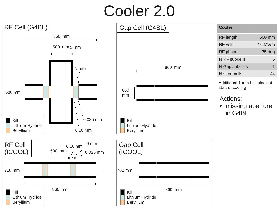# Cooler 2.0

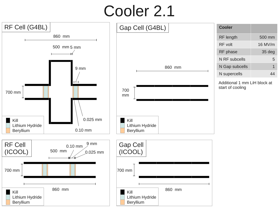# Cooler 2.1